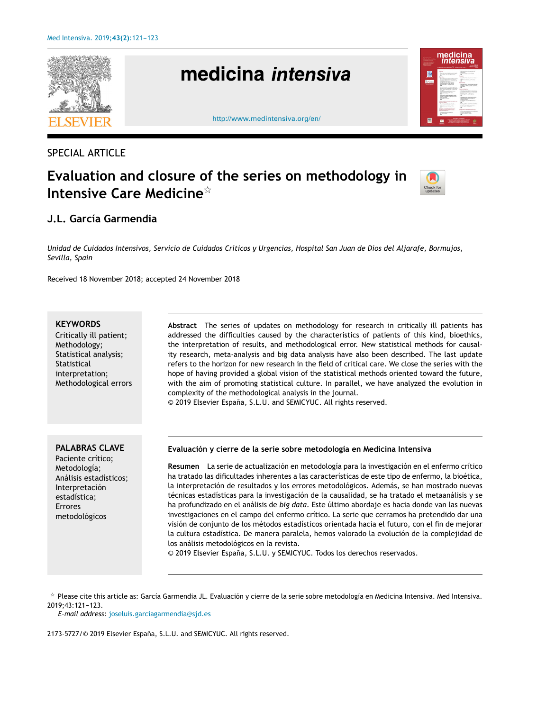

# SPECIAL ARTICLE

# **Evaluation and closure of the series on methodology in Intensive Care Medicine**-



## **J.L. García Garmendia**

Unidad de Cuidados Intensivos, Servicio de Cuidados Críticos y Urgencias, Hospital San Juan de Dios del Aljarafe, Bormujos, *Sevilla, Spain*

Received 18 November 2018; accepted 24 November 2018

#### **KEYWORDS**

Critically ill patient; Methodology; Statistical analysis; Statistical interpretation; Methodological errors **Abstract** The series of updates on methodology for research in critically ill patients has addressed the difficulties caused by the characteristics of patients of this kind, bioethics, the interpretation of results, and methodological error. New statistical methods for causality research, meta-analysis and big data analysis have also been described. The last update refers to the horizon for new research in the field of critical care. We close the series with the hope of having provided a global vision of the statistical methods oriented toward the future, with the aim of promoting statistical culture. In parallel, we have analyzed the evolution in complexity of the methodological analysis in the journal.

© 2019 Elsevier España, S.L.U. and SEMICYUC. All rights reserved.

#### **PALABRAS CLAVE**

Paciente crítico; Metodología; Análisis estadísticos; Interpretación estadística; Errores metodológicos

#### **Evaluación y cierre de la serie sobre metodología en Medicina Intensiva**

**Resumen** La serie de actualización en metodología para la investigación en el enfermo crítico ha tratado las dificultades inherentes a las características de este tipo de enfermo, la bioética, la interpretación de resultados y los errores metodológicos. Además, se han mostrado nuevas técnicas estadísticas para la investigación de la causalidad, se ha tratado el metaanálisis y se ha profundizado en el análisis de *big data*. Este último abordaje es hacia donde van las nuevas investigaciones en el campo del enfermo crítico. La serie que cerramos ha pretendido dar una visión de conjunto de los métodos estadísticos orientada hacia el futuro, con el fin de mejorar la cultura estadística. De manera paralela, hemos valorado la evolución de la complejidad de los análisis metodológicos en la revista.

© 2019 Elsevier España, S.L.U. y SEMICYUC. Todos los derechos reservados.

 $^\star$  Please cite this article as: García Garmendia JL. Evaluación y cierre de la serie sobre metodología en Medicina Intensiva. Med Intensiva. 2019;43:121-123.

*E-mail address:* [joseluis.garciagarmendia@sjd.es](mailto:joseluis.garciagarmendia@sjd.es)

2173-5727/© 2019 Elsevier España, S.L.U. and SEMICYUC. All rights reserved.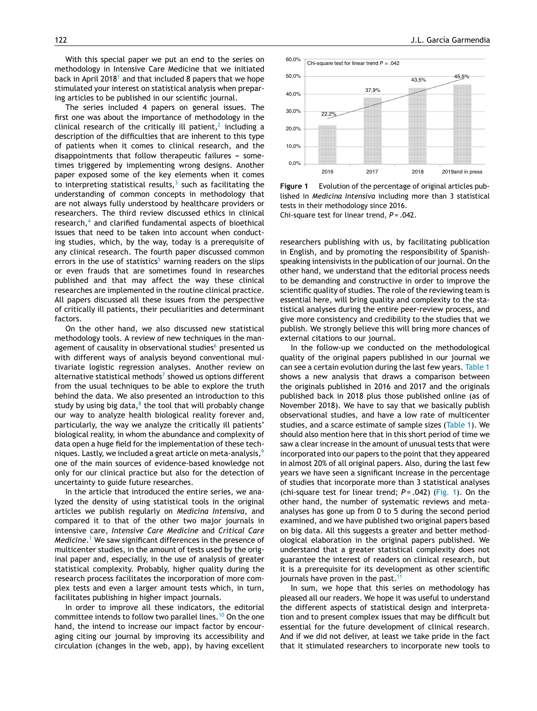With this special paper we put an end to the series on methodology in Intensive Care Medicine that we initiated b[a](#page-2-0)ck in April 2018<sup>1</sup> and that included 8 papers that we hope stimulated your interest on statistical analysis when preparing articles to be published in our scientific journal.

The series included 4 papers on general issues. The first one was about the importance of methodology in the clinical research of the critically ill patient, $^2$  $^2$  including a description of the difficulties that are inherent to this type of patients when it comes to clinical research, and the disappointments that follow therapeutic failures - sometimes triggered by implementing wrong designs. Another paper exposed some of the key elements when it comes to interpreting statistical results, $3$  such as facilitating the understanding of common concepts in methodology that are not always fully understood by healthcare providers or researchers. The third review discussed ethics in clinical research,<sup>[4](#page-2-0)</sup> and clarified fundamental aspects of bioethical issues that need to be taken into account when conducting studies, which, by the way, today is a prerequisite of any clinical research. The fourth paper discussed common errors in the use of statistics<sup>[5](#page-2-0)</sup> warning readers on the slips or even frauds that are sometimes found in researches published and that may affect the way these clinical researches are implemented in the routine clinical practice. All papers discussed all these issues from the perspective of critically ill patients, their peculiarities and determinant factors.

On the other hand, we also discussed new statistical methodology tools. A review of new techniques in the man-agement of causality in observational studies<sup>[6](#page-2-0)</sup> presented us with different ways of analysis beyond conventional multivariate logistic regression analyses. Another review on alternative [s](#page-2-0)tatistical methods<sup>7</sup> showed us options different from the usual techniques to be able to explore the truth behind the data. We also presented an introduction to this study by using big data,<sup>[8](#page-2-0)</sup> the tool that will probably change our way to analyze health biological reality forever and, particularly, the way we analyze the critically ill patients' biological reality, in whom the abundance and complexity of data open a huge field for the implementation of these tech-niques. Lastly, we included a great article on meta-analysis,<sup>[9](#page-2-0)</sup> one of the main sources of evidence-based knowledge not only for our clinical practice but also for the detection of uncertainty to guide future researches.

In the article that introduced the entire series, we analyzed the density of using statistical tools in the original articles we publish regularly on *Medicina Intensiva*, and compared it to that of the other two major journals in intensive care, *Intensive Care Medicine* and *Critical Care Medicine.*<sup>1</sup> [W](#page-2-0)e saw significant differences in the presence of multicenter studies, in the amount of tests used by the original paper and, especially, in the use of analysis of greater statistical complexity. Probably, higher quality during the research process facilitates the incorporation of more complex tests and even a larger amount tests which, in turn, facilitates publishing in higher impact journals.

In order to improve all these indicators, the editorial committee intends to follow two parallel lines.<sup>[10](#page-2-0)</sup> On the one hand, the intend to increase our impact factor by encouraging citing our journal by improving its accessibility and circulation (changes in the web, app), by having excellent



**Figure 1** Evolution of the percentage of original articles published in *Medicina Intensiva* including more than 3 statistical tests in their methodology since 2016. Chi-square test for linear trend, *P* = .042.

researchers publishing with us, by facilitating publication in English, and by promoting the responsibility of Spanishspeaking intensivists in the publication of our journal. On the other hand, we understand that the editorial process needs to be demanding and constructive in order to improve the scientific quality of studies. The role of the reviewing team is essential here, will bring quality and complexity to the statistical analyses during the entire peer-review process, and give more consistency and credibility to the studies that we publish. We strongly believe this will bring more chances of external citations to our journal.

In the follow-up we conducted on the methodological quality of the original papers published in our journal we can see a certain evolution during the last few years. [Table](#page-2-0) 1 shows a new analysis that draws a comparison between the originals published in 2016 and 2017 and the originals published back in 2018 plus those published online (as of November 2018). We have to say that we basically publish observational studies, and have a low rate of multicenter studies, and a scarce estimate of sample sizes [\(Table](#page-2-0) 1). We should also mention here that in this short period of time we saw a clear increase in the amount of unusual tests that were incorporated into our papers to the point that they appeared in almost 20% of all original papers. Also, during the last few years we have seen a significant increase in the percentage of studies that incorporate more than 3 statistical analyses (chi-square test for linear trend; *P* = .042) (Fig. 1). On the other hand, the number of systematic reviews and metaanalyses has gone up from 0 to 5 during the second period examined, and we have published two original papers based on big data. All this suggests a greater and better methodological elaboration in the original papers published. We understand that a greater statistical complexity does not guarantee the interest of readers on clinical research, but it is a prerequisite for its development as other scientific journals have proven in the past.<sup>[11](#page-2-0)</sup>

In sum, we hope that this series on methodology has pleased all our readers. We hope it was useful to understand the different aspects of statistical design and interpretation and to present complex issues that may be difficult but essential for the future development of clinical research. And if we did not deliver, at least we take pride in the fact that it stimulated researchers to incorporate new tools to